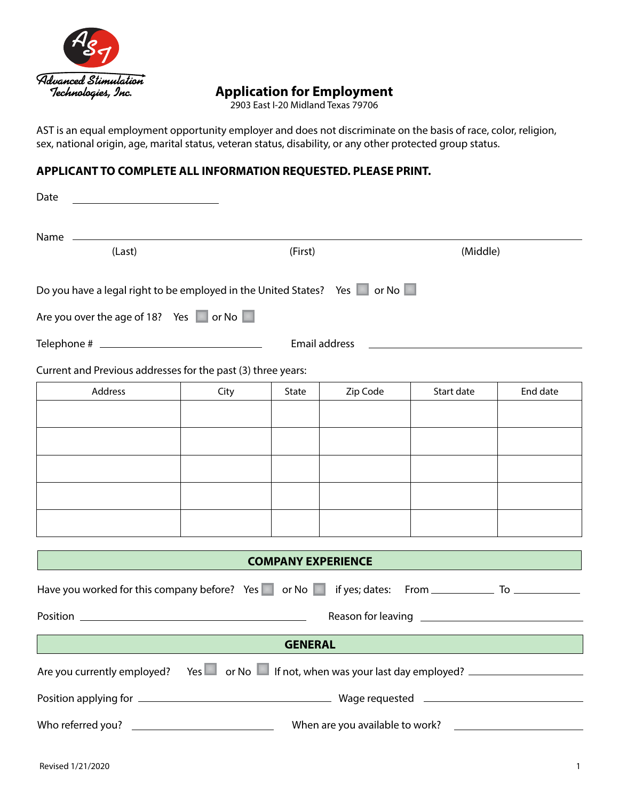

# **Application for Employment**

2903 East I-20 Midland Texas 79706

AST is an equal employment opportunity employer and does not discriminate on the basis of race, color, religion, sex, national origin, age, marital status, veteran status, disability, or any other protected group status.

### **APPLICANT TO COMPLETE ALL INFORMATION REQUESTED. PLEASE PRINT.**

| Date                                                                                                                               |      |         |                           |            |          |  |
|------------------------------------------------------------------------------------------------------------------------------------|------|---------|---------------------------|------------|----------|--|
|                                                                                                                                    |      |         |                           |            |          |  |
| (Last)                                                                                                                             |      | (First) |                           | (Middle)   |          |  |
| Do you have a legal right to be employed in the United States? Yes in or No<br>Are you over the age of 18? Yes $\Box$ or No $\Box$ |      |         |                           |            |          |  |
|                                                                                                                                    |      |         | Email address             |            |          |  |
|                                                                                                                                    |      |         |                           |            |          |  |
| Current and Previous addresses for the past (3) three years:<br>Address                                                            | City | State   | Zip Code                  | Start date | End date |  |
|                                                                                                                                    |      |         |                           |            |          |  |
|                                                                                                                                    |      |         |                           |            |          |  |
|                                                                                                                                    |      |         |                           |            |          |  |
|                                                                                                                                    |      |         |                           |            |          |  |
|                                                                                                                                    |      |         |                           |            |          |  |
|                                                                                                                                    |      |         |                           |            |          |  |
|                                                                                                                                    |      |         | <b>COMPANY EXPERIENCE</b> |            |          |  |
| Have you worked for this company before? Yes or No in if yes; dates: From __________________________                               |      |         |                           |            |          |  |
|                                                                                                                                    |      |         |                           |            |          |  |
|                                                                                                                                    |      |         |                           |            |          |  |
| <b>GENERAL</b>                                                                                                                     |      |         |                           |            |          |  |
| Are you currently employed?                                                                                                        |      |         |                           |            |          |  |
|                                                                                                                                    |      |         |                           |            |          |  |
|                                                                                                                                    |      |         |                           |            |          |  |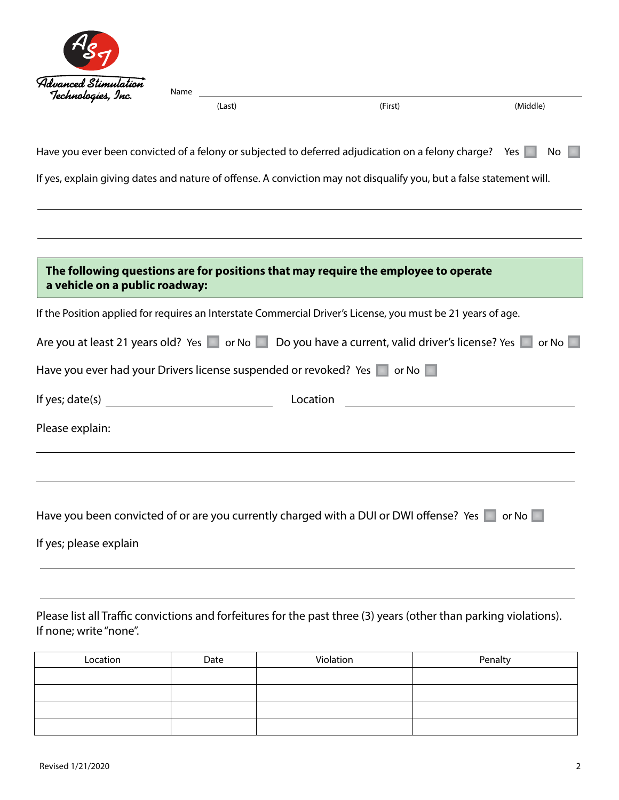

| (Last) | (First) | (Middle) |
|--------|---------|----------|
|        |         |          |

the control of the control of the control of the control of the control of

| Have you ever been convicted of a felony or subjected to deferred adjudication on a felony charge? Yes No |  |  |  |
|-----------------------------------------------------------------------------------------------------------|--|--|--|
|-----------------------------------------------------------------------------------------------------------|--|--|--|

If yes, explain giving dates and nature of offense. A conviction may not disqualify you, but a false statement will.

| The following questions are for positions that may require the employee to operate<br>a vehicle on a public roadway: |
|----------------------------------------------------------------------------------------------------------------------|
| If the Position applied for requires an Interstate Commercial Driver's License, you must be 21 years of age.         |
| Are you at least 21 years old? Yes or No Do you have a current, valid driver's license? Yes or No                    |
| Have you ever had your Drivers license suspended or revoked? Yes a or No                                             |
| If yes; date(s) $\qquad \qquad \qquad$<br>Location <u>_______</u>                                                    |
| Please explain:                                                                                                      |
|                                                                                                                      |
|                                                                                                                      |
| Have you been convicted of or are you currently charged with a DUI or DWI offense? Yes a lot No                      |
| If yes; please explain                                                                                               |

### Please list all Traffic convictions and forfeitures for the past three (3) years (other than parking violations). If none; write "none".

| Location | Date | Violation | Penalty |
|----------|------|-----------|---------|
|          |      |           |         |
|          |      |           |         |
|          |      |           |         |
|          |      |           |         |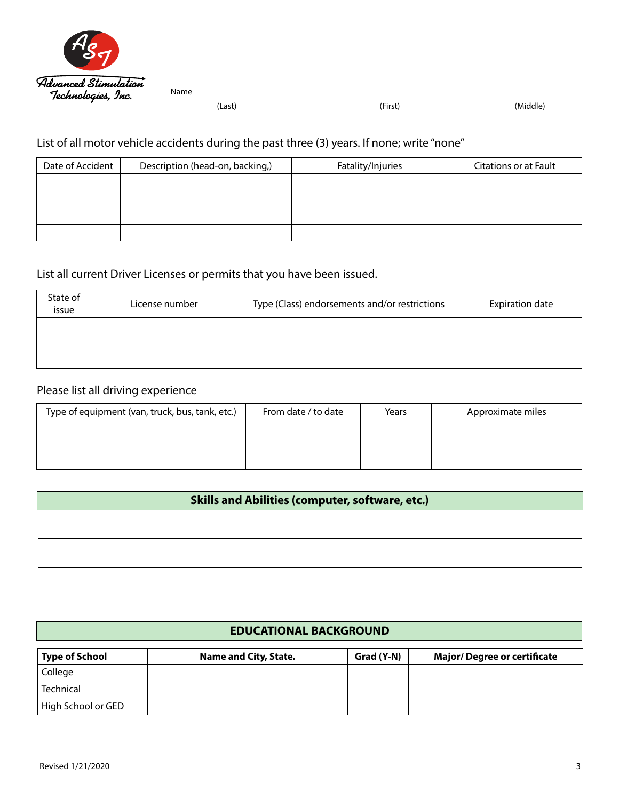

(Last) (First) (Middle)

# List of all motor vehicle accidents during the past three (3) years. If none; write "none"

| Date of Accident | Description (head-on, backing,) | Fatality/Injuries | Citations or at Fault |
|------------------|---------------------------------|-------------------|-----------------------|
|                  |                                 |                   |                       |
|                  |                                 |                   |                       |
|                  |                                 |                   |                       |
|                  |                                 |                   |                       |

# List all current Driver Licenses or permits that you have been issued.

| State of<br>issue | License number | Type (Class) endorsements and/or restrictions | <b>Expiration date</b> |
|-------------------|----------------|-----------------------------------------------|------------------------|
|                   |                |                                               |                        |
|                   |                |                                               |                        |
|                   |                |                                               |                        |

# Please list all driving experience

| Type of equipment (van, truck, bus, tank, etc.) | From date / to date | Years | Approximate miles |
|-------------------------------------------------|---------------------|-------|-------------------|
|                                                 |                     |       |                   |
|                                                 |                     |       |                   |
|                                                 |                     |       |                   |

### **Skills and Abilities (computer, software, etc.)**

#### **EDUCATIONAL BACKGROUND**

| Type of School     | Name and City, State. | Grad (Y-N) | <b>Major/Degree or certificate</b> |
|--------------------|-----------------------|------------|------------------------------------|
| College            |                       |            |                                    |
| Technical          |                       |            |                                    |
| High School or GED |                       |            |                                    |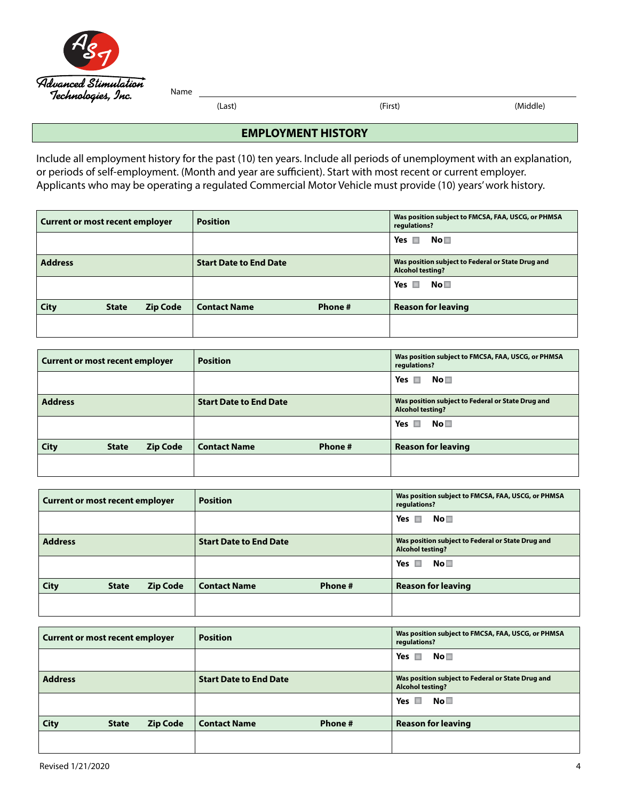| Alg                                        |
|--------------------------------------------|
| Advanced Stimulation<br>Technologies, Inc. |

(Last) (First) (Middle)

#### **EMPLOYMENT HISTORY**

Include all employment history for the past (10) ten years. Include all periods of unemployment with an explanation, or periods of self-employment. (Month and year are sufficient). Start with most recent or current employer. Applicants who may be operating a regulated Commercial Motor Vehicle must provide (10) years' work history.

| Current or most recent employer |              |                 | <b>Position</b>               |         | Was position subject to FMCSA, FAA, USCG, or PHMSA<br>regulations?           |
|---------------------------------|--------------|-----------------|-------------------------------|---------|------------------------------------------------------------------------------|
|                                 |              |                 |                               |         | Yes $\Box$<br>No□                                                            |
| <b>Address</b>                  |              |                 | <b>Start Date to End Date</b> |         | Was position subject to Federal or State Drug and<br><b>Alcohol testing?</b> |
|                                 |              |                 |                               |         | Yes $\Box$<br>No <sub>1</sub>                                                |
| City                            | <b>State</b> | <b>Zip Code</b> | <b>Contact Name</b>           | Phone # | <b>Reason for leaving</b>                                                    |
|                                 |              |                 |                               |         |                                                                              |

| <b>Current or most recent employer</b> |              |                 | <b>Position</b>               |         | Was position subject to FMCSA, FAA, USCG, or PHMSA<br>regulations?           |
|----------------------------------------|--------------|-----------------|-------------------------------|---------|------------------------------------------------------------------------------|
|                                        |              |                 |                               |         | Yes $\Box$<br>No⊟                                                            |
| <b>Address</b>                         |              |                 | <b>Start Date to End Date</b> |         | Was position subject to Federal or State Drug and<br><b>Alcohol testing?</b> |
|                                        |              |                 |                               |         | No <sub>1</sub><br>Yes $\Box$                                                |
| <b>City</b>                            | <b>State</b> | <b>Zip Code</b> | <b>Contact Name</b>           | Phone # | <b>Reason for leaving</b>                                                    |
|                                        |              |                 |                               |         |                                                                              |

| <b>Current or most recent employer</b> |              |                 | <b>Position</b>               |         | Was position subject to FMCSA, FAA, USCG, or PHMSA<br>regulations?           |
|----------------------------------------|--------------|-----------------|-------------------------------|---------|------------------------------------------------------------------------------|
|                                        |              |                 |                               |         | Yes $\blacksquare$<br>No⊟                                                    |
| <b>Address</b>                         |              |                 | <b>Start Date to End Date</b> |         | Was position subject to Federal or State Drug and<br><b>Alcohol testing?</b> |
|                                        |              |                 |                               |         | No <sub>1</sub><br>Yes $\Box$                                                |
| City                                   | <b>State</b> | <b>Zip Code</b> | <b>Contact Name</b>           | Phone # | <b>Reason for leaving</b>                                                    |
|                                        |              |                 |                               |         |                                                                              |

| <b>Current or most recent employer</b> |              |                 | <b>Position</b>               |         | Was position subject to FMCSA, FAA, USCG, or PHMSA<br>regulations?           |
|----------------------------------------|--------------|-----------------|-------------------------------|---------|------------------------------------------------------------------------------|
|                                        |              |                 |                               |         | Yes $\blacksquare$<br>No⊟                                                    |
| <b>Address</b>                         |              |                 | <b>Start Date to End Date</b> |         | Was position subject to Federal or State Drug and<br><b>Alcohol testing?</b> |
|                                        |              |                 |                               |         | $\mathsf{No}\,\blacksquare$<br>Yes $\Box$                                    |
| <b>City</b>                            | <b>State</b> | <b>Zip Code</b> | <b>Contact Name</b>           | Phone # | <b>Reason for leaving</b>                                                    |
|                                        |              |                 |                               |         |                                                                              |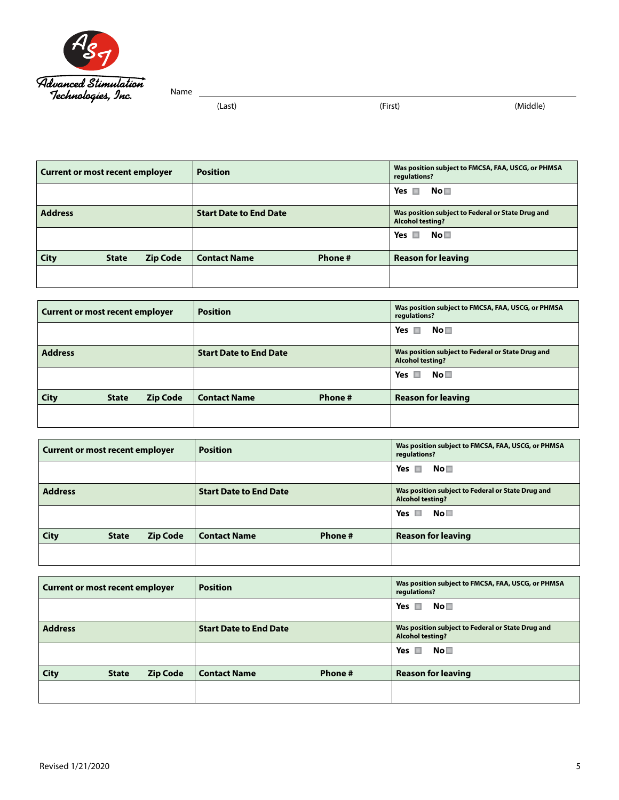

```
(Last) (First) (Middle)
```

| Current or most recent employer |              | <b>Position</b> |                               | Was position subject to FMCSA, FAA, USCG, or PHMSA<br>regulations? |                                                                              |
|---------------------------------|--------------|-----------------|-------------------------------|--------------------------------------------------------------------|------------------------------------------------------------------------------|
|                                 |              |                 |                               |                                                                    | Yes<br>No□<br><b>In</b>                                                      |
| <b>Address</b>                  |              |                 | <b>Start Date to End Date</b> |                                                                    | Was position subject to Federal or State Drug and<br><b>Alcohol testing?</b> |
|                                 |              |                 |                               |                                                                    | No□<br>Yes $\Box$                                                            |
| <b>City</b>                     | <b>State</b> | <b>Zip Code</b> | <b>Contact Name</b>           | Phone #                                                            | <b>Reason for leaving</b>                                                    |
|                                 |              |                 |                               |                                                                    |                                                                              |

| Current or most recent employer |              | <b>Position</b> |                               | Was position subject to FMCSA, FAA, USCG, or PHMSA<br>regulations? |                                                                              |
|---------------------------------|--------------|-----------------|-------------------------------|--------------------------------------------------------------------|------------------------------------------------------------------------------|
|                                 |              |                 |                               |                                                                    | No□<br>Yes $\Box$                                                            |
| <b>Address</b>                  |              |                 | <b>Start Date to End Date</b> |                                                                    | Was position subject to Federal or State Drug and<br><b>Alcohol testing?</b> |
|                                 |              |                 |                               |                                                                    | No□<br>Yes $\Box$                                                            |
| <b>City</b>                     | <b>State</b> | <b>Zip Code</b> | <b>Contact Name</b>           | Phone #                                                            | <b>Reason for leaving</b>                                                    |
|                                 |              |                 |                               |                                                                    |                                                                              |

| <b>Current or most recent employer</b> |              |                 | <b>Position</b>               |         | Was position subject to FMCSA, FAA, USCG, or PHMSA<br>regulations?           |
|----------------------------------------|--------------|-----------------|-------------------------------|---------|------------------------------------------------------------------------------|
|                                        |              |                 |                               |         | $\mathsf{No} \square$<br>Yes $\blacksquare$                                  |
| <b>Address</b>                         |              |                 | <b>Start Date to End Date</b> |         | Was position subject to Federal or State Drug and<br><b>Alcohol testing?</b> |
|                                        |              |                 |                               |         | No□<br>Yes $\Box$                                                            |
| <b>City</b>                            | <b>State</b> | <b>Zip Code</b> | <b>Contact Name</b>           | Phone # | <b>Reason for leaving</b>                                                    |
|                                        |              |                 |                               |         |                                                                              |

| <b>Current or most recent employer</b> |              |                 | <b>Position</b>               |         | Was position subject to FMCSA, FAA, USCG, or PHMSA<br>regulations?           |
|----------------------------------------|--------------|-----------------|-------------------------------|---------|------------------------------------------------------------------------------|
|                                        |              |                 |                               |         | Yes $\blacksquare$<br>No⊟                                                    |
| <b>Address</b>                         |              |                 | <b>Start Date to End Date</b> |         | Was position subject to Federal or State Drug and<br><b>Alcohol testing?</b> |
|                                        |              |                 |                               |         | No□<br>Yes $\Box$                                                            |
| <b>City</b>                            | <b>State</b> | <b>Zip Code</b> | <b>Contact Name</b>           | Phone # | <b>Reason for leaving</b>                                                    |
|                                        |              |                 |                               |         |                                                                              |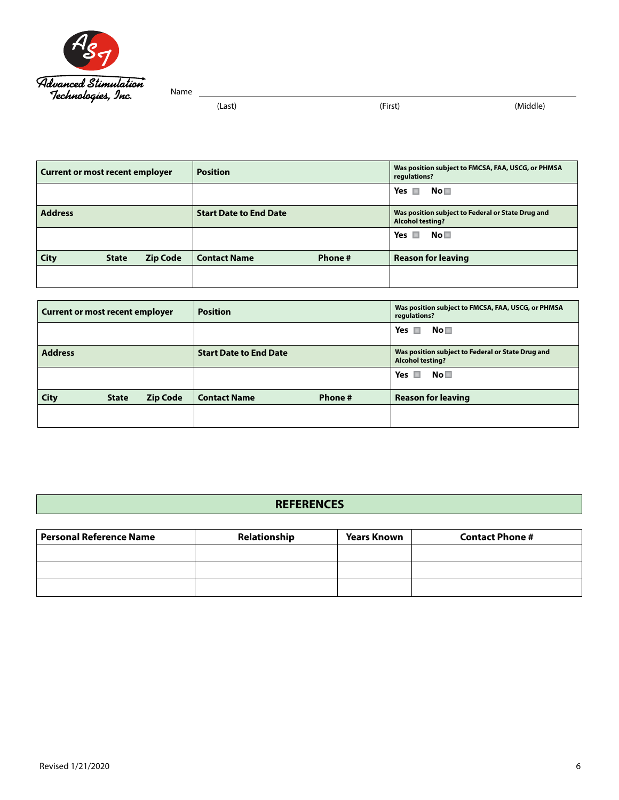

```
(Last) (First) (Middle)
```

| <b>Current or most recent employer</b> |              | <b>Position</b> |                               | Was position subject to FMCSA, FAA, USCG, or PHMSA<br>regulations? |                                                                              |
|----------------------------------------|--------------|-----------------|-------------------------------|--------------------------------------------------------------------|------------------------------------------------------------------------------|
|                                        |              |                 |                               |                                                                    | Yes $\Box$<br>No□                                                            |
| <b>Address</b>                         |              |                 | <b>Start Date to End Date</b> |                                                                    | Was position subject to Federal or State Drug and<br><b>Alcohol testing?</b> |
|                                        |              |                 |                               |                                                                    | Yes<br>No <sub>1</sub><br>-                                                  |
| <b>City</b>                            | <b>State</b> | <b>Zip Code</b> | <b>Contact Name</b>           | Phone #                                                            | <b>Reason for leaving</b>                                                    |
|                                        |              |                 |                               |                                                                    |                                                                              |

| <b>Current or most recent employer</b> |              |                 | <b>Position</b>               |         | Was position subject to FMCSA, FAA, USCG, or PHMSA<br>regulations?           |
|----------------------------------------|--------------|-----------------|-------------------------------|---------|------------------------------------------------------------------------------|
|                                        |              |                 |                               |         | Yes $\blacksquare$<br>$\mathsf{No}\,\square$                                 |
| <b>Address</b>                         |              |                 | <b>Start Date to End Date</b> |         | Was position subject to Federal or State Drug and<br><b>Alcohol testing?</b> |
|                                        |              |                 |                               |         | $\mathsf{No}\,\blacksquare$<br>Yes $\Box$                                    |
| <b>City</b>                            | <b>State</b> | <b>Zip Code</b> | <b>Contact Name</b>           | Phone # | <b>Reason for leaving</b>                                                    |
|                                        |              |                 |                               |         |                                                                              |

#### **REFERENCES**

| <b>Personal Reference Name</b> | Relationship | <b>Years Known</b> | <b>Contact Phone #</b> |
|--------------------------------|--------------|--------------------|------------------------|
|                                |              |                    |                        |
|                                |              |                    |                        |
|                                |              |                    |                        |